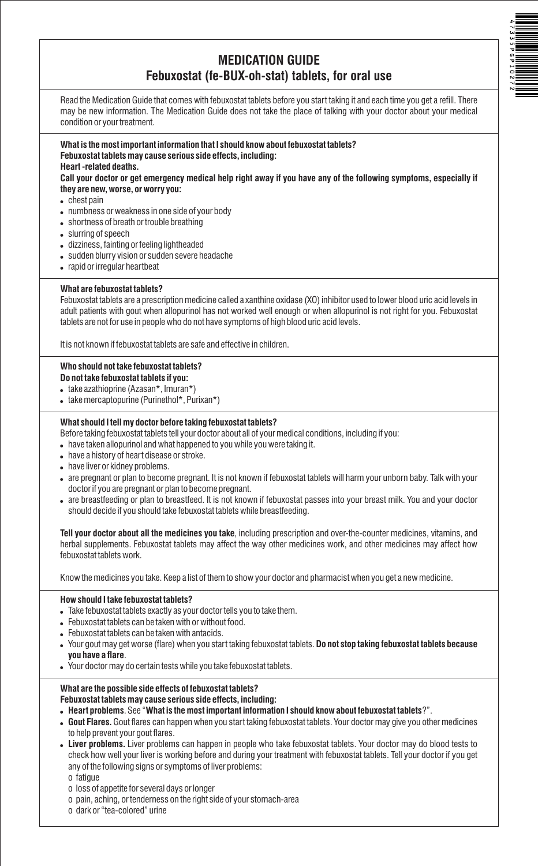